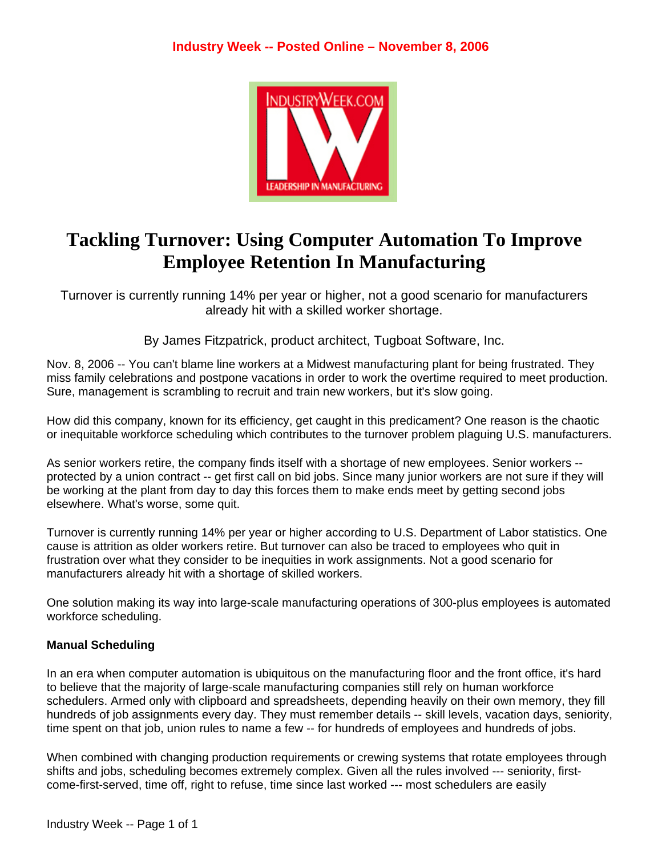

# **Tackling Turnover: Using Computer Automation To Improve Employee Retention In Manufacturing**

Turnover is currently running 14% per year or higher, not a good scenario for manufacturers already hit with a skilled worker shortage.

By James Fitzpatrick, product architect, Tugboat Software, Inc.

Nov. 8, 2006 -- You can't blame line workers at a Midwest manufacturing plant for being frustrated. They miss family celebrations and postpone vacations in order to work the overtime required to meet production. Sure, management is scrambling to recruit and train new workers, but it's slow going.

How did this company, known for its efficiency, get caught in this predicament? One reason is the chaotic or inequitable workforce scheduling which contributes to the turnover problem plaguing U.S. manufacturers.

As senior workers retire, the company finds itself with a shortage of new employees. Senior workers - protected by a union contract -- get first call on bid jobs. Since many junior workers are not sure if they will be working at the plant from day to day this forces them to make ends meet by getting second jobs elsewhere. What's worse, some quit.

Turnover is currently running 14% per year or higher according to U.S. Department of Labor statistics. One cause is attrition as older workers retire. But turnover can also be traced to employees who quit in frustration over what they consider to be inequities in work assignments. Not a good scenario for manufacturers already hit with a shortage of skilled workers.

One solution making its way into large-scale manufacturing operations of 300-plus employees is automated workforce scheduling.

## **Manual Scheduling**

In an era when computer automation is ubiquitous on the manufacturing floor and the front office, it's hard to believe that the majority of large-scale manufacturing companies still rely on human workforce schedulers. Armed only with clipboard and spreadsheets, depending heavily on their own memory, they fill hundreds of job assignments every day. They must remember details -- skill levels, vacation days, seniority, time spent on that job, union rules to name a few -- for hundreds of employees and hundreds of jobs.

When combined with changing production requirements or crewing systems that rotate employees through shifts and jobs, scheduling becomes extremely complex. Given all the rules involved --- seniority, firstcome-first-served, time off, right to refuse, time since last worked --- most schedulers are easily